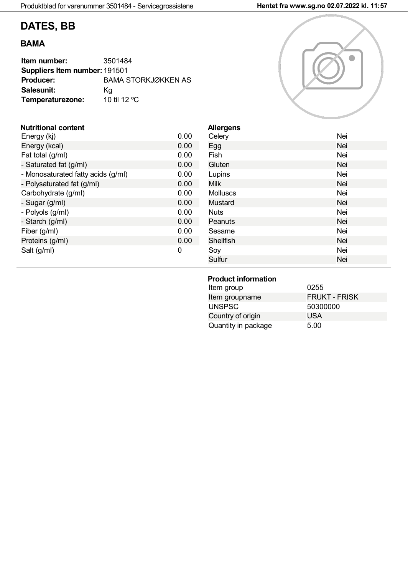# **DATES, BB**

## **BAMA**

| Item number:                  | 3501484                    |
|-------------------------------|----------------------------|
| Suppliers Item number: 191501 |                            |
| <b>Producer:</b>              | <b>BAMA STORKJØKKEN AS</b> |
| Salesunit:                    | Κa                         |
| Temperaturezone:              | 10 til 12 °C               |

#### **Nutritional content**

| Energy (kj)                        | 0.00 |
|------------------------------------|------|
| Energy (kcal)                      | 0.00 |
| Fat total (g/ml)                   | 0.00 |
| - Saturated fat (g/ml)             | 0.00 |
| - Monosaturated fatty acids (g/ml) | 0.00 |
| - Polysaturated fat (g/ml)         | 0.00 |
| Carbohydrate (g/ml)                | 0.00 |
| - Sugar (g/ml)                     | 0.00 |
| - Polyols (g/ml)                   | 0.00 |
| - Starch (g/ml)                    | 0.00 |
| Fiber (g/ml)                       | 0.00 |
| Proteins (g/ml)                    | 0.00 |
| Salt (g/ml)                        | O    |
|                                    |      |



| <b>Allergens</b><br>Celery | Nei |
|----------------------------|-----|
| Egg                        | Nei |
| Fish                       | Nei |
| Gluten                     | Nei |
| Lupins                     | Nei |
| <b>Milk</b>                | Nei |
| <b>Molluscs</b>            | Nei |
| Mustard                    | Nei |
| <b>Nuts</b>                | Nei |
| Peanuts                    | Nei |
| Sesame                     | Nei |
| <b>Shellfish</b>           | Nei |
| Soy                        | Nei |
| Sulfur                     | Nei |

## **Product information**

| Item group          | 0255                 |
|---------------------|----------------------|
| Item groupname      | <b>FRUKT - FRISK</b> |
| <b>UNSPSC</b>       | 50300000             |
| Country of origin   | <b>USA</b>           |
| Quantity in package | 5.00                 |